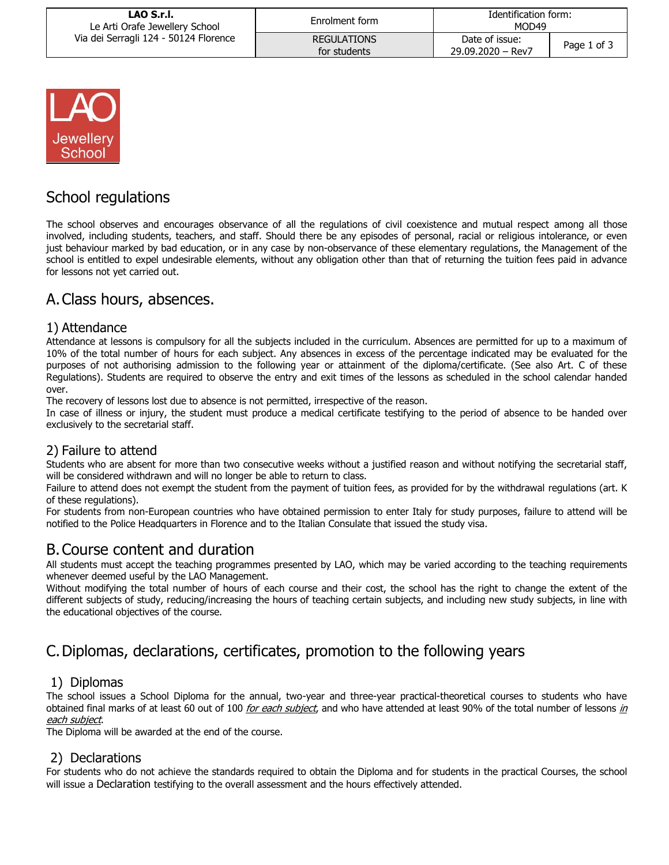| LAO S.r.I.<br>Le Arti Orafe Jewellery School<br>Via dei Serragli 124 - 50124 Florence | Enrolment form                     | Identification form:<br>MOD49       |             |
|---------------------------------------------------------------------------------------|------------------------------------|-------------------------------------|-------------|
|                                                                                       | <b>REGULATIONS</b><br>for students | Date of issue:<br>29.09.2020 - Rev7 | Page 1 of 3 |



# School regulations

The school observes and encourages observance of all the regulations of civil coexistence and mutual respect among all those involved, including students, teachers, and staff. Should there be any episodes of personal, racial or religious intolerance, or even just behaviour marked by bad education, or in any case by non-observance of these elementary regulations, the Management of the school is entitled to expel undesirable elements, without any obligation other than that of returning the tuition fees paid in advance for lessons not yet carried out.

## A.Class hours, absences.

#### 1) Attendance

Attendance at lessons is compulsory for all the subjects included in the curriculum. Absences are permitted for up to a maximum of 10% of the total number of hours for each subject. Any absences in excess of the percentage indicated may be evaluated for the purposes of not authorising admission to the following year or attainment of the diploma/certificate. (See also Art. C of these Regulations). Students are required to observe the entry and exit times of the lessons as scheduled in the school calendar handed over.

The recovery of lessons lost due to absence is not permitted, irrespective of the reason.

In case of illness or injury, the student must produce a medical certificate testifying to the period of absence to be handed over exclusively to the secretarial staff.

#### 2) Failure to attend

Students who are absent for more than two consecutive weeks without a justified reason and without notifying the secretarial staff, will be considered withdrawn and will no longer be able to return to class.

Failure to attend does not exempt the student from the payment of tuition fees, as provided for by the withdrawal regulations (art. K of these regulations).

For students from non-European countries who have obtained permission to enter Italy for study purposes, failure to attend will be notified to the Police Headquarters in Florence and to the Italian Consulate that issued the study visa.

## B.Course content and duration

All students must accept the teaching programmes presented by LAO, which may be varied according to the teaching requirements whenever deemed useful by the LAO Management.

Without modifying the total number of hours of each course and their cost, the school has the right to change the extent of the different subjects of study, reducing/increasing the hours of teaching certain subjects, and including new study subjects, in line with the educational objectives of the course.

# C.Diplomas, declarations, certificates, promotion to the following years

### 1) Diplomas

The school issues a School Diploma for the annual, two-year and three-year practical-theoretical courses to students who have obtained final marks of at least 60 out of 100 for each subject, and who have attended at least 90% of the total number of lessons in each subject.

The Diploma will be awarded at the end of the course.

### 2) Declarations

For students who do not achieve the standards required to obtain the Diploma and for students in the practical Courses, the school will issue a Declaration testifying to the overall assessment and the hours effectively attended.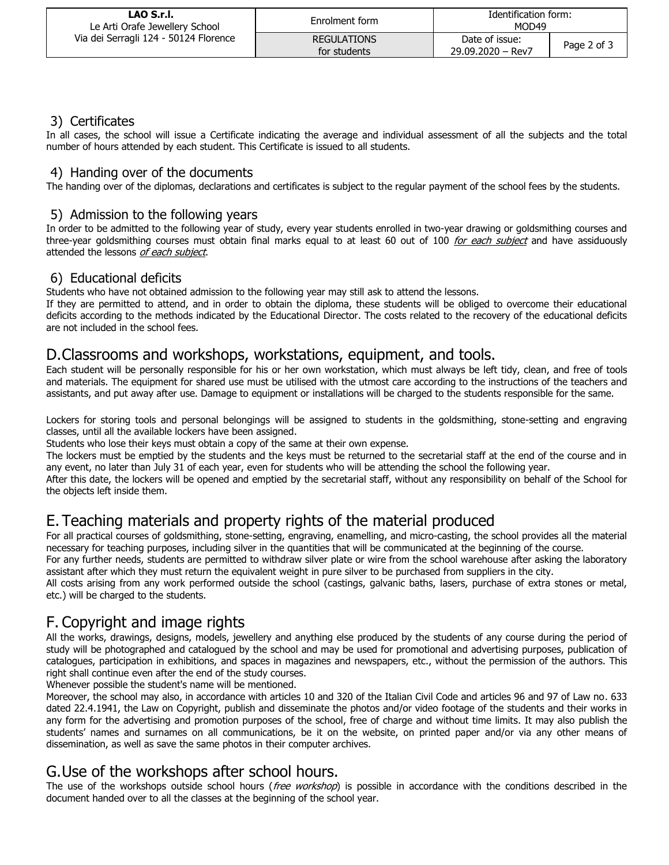| LAO S.r.I.<br>Le Arti Orafe Jewellery School<br>Via dei Serragli 124 - 50124 Florence | Enrolment form                     | Identification form:<br>MOD49       |             |
|---------------------------------------------------------------------------------------|------------------------------------|-------------------------------------|-------------|
|                                                                                       | <b>REGULATIONS</b><br>for students | Date of issue:<br>29.09.2020 - Rev7 | Page 2 of 3 |

### 3) Certificates

In all cases, the school will issue a Certificate indicating the average and individual assessment of all the subjects and the total number of hours attended by each student. This Certificate is issued to all students.

### 4) Handing over of the documents

The handing over of the diplomas, declarations and certificates is subject to the regular payment of the school fees by the students.

#### 5) Admission to the following years

In order to be admitted to the following year of study, every year students enrolled in two-year drawing or goldsmithing courses and three-year goldsmithing courses must obtain final marks equal to at least 60 out of 100 for each subject and have assiduously attended the lessons of each subject.

### 6) Educational deficits

Students who have not obtained admission to the following year may still ask to attend the lessons.

If they are permitted to attend, and in order to obtain the diploma, these students will be obliged to overcome their educational deficits according to the methods indicated by the Educational Director. The costs related to the recovery of the educational deficits are not included in the school fees.

### D.Classrooms and workshops, workstations, equipment, and tools.

Each student will be personally responsible for his or her own workstation, which must always be left tidy, clean, and free of tools and materials. The equipment for shared use must be utilised with the utmost care according to the instructions of the teachers and assistants, and put away after use. Damage to equipment or installations will be charged to the students responsible for the same.

Lockers for storing tools and personal belongings will be assigned to students in the goldsmithing, stone-setting and engraving classes, until all the available lockers have been assigned.

Students who lose their keys must obtain a copy of the same at their own expense.

The lockers must be emptied by the students and the keys must be returned to the secretarial staff at the end of the course and in any event, no later than July 31 of each year, even for students who will be attending the school the following year.

After this date, the lockers will be opened and emptied by the secretarial staff, without any responsibility on behalf of the School for the objects left inside them.

## E.Teaching materials and property rights of the material produced

For all practical courses of goldsmithing, stone-setting, engraving, enamelling, and micro-casting, the school provides all the material necessary for teaching purposes, including silver in the quantities that will be communicated at the beginning of the course.

For any further needs, students are permitted to withdraw silver plate or wire from the school warehouse after asking the laboratory assistant after which they must return the equivalent weight in pure silver to be purchased from suppliers in the city.

All costs arising from any work performed outside the school (castings, galvanic baths, lasers, purchase of extra stones or metal, etc.) will be charged to the students.

## F. Copyright and image rights

All the works, drawings, designs, models, jewellery and anything else produced by the students of any course during the period of study will be photographed and catalogued by the school and may be used for promotional and advertising purposes, publication of catalogues, participation in exhibitions, and spaces in magazines and newspapers, etc., without the permission of the authors. This right shall continue even after the end of the study courses.

Whenever possible the student's name will be mentioned.

Moreover, the school may also, in accordance with articles 10 and 320 of the Italian Civil Code and articles 96 and 97 of Law no. 633 dated 22.4.1941, the Law on Copyright, publish and disseminate the photos and/or video footage of the students and their works in any form for the advertising and promotion purposes of the school, free of charge and without time limits. It may also publish the students' names and surnames on all communications, be it on the website, on printed paper and/or via any other means of dissemination, as well as save the same photos in their computer archives.

## G.Use of the workshops after school hours.

The use of the workshops outside school hours (free workshop) is possible in accordance with the conditions described in the document handed over to all the classes at the beginning of the school year.